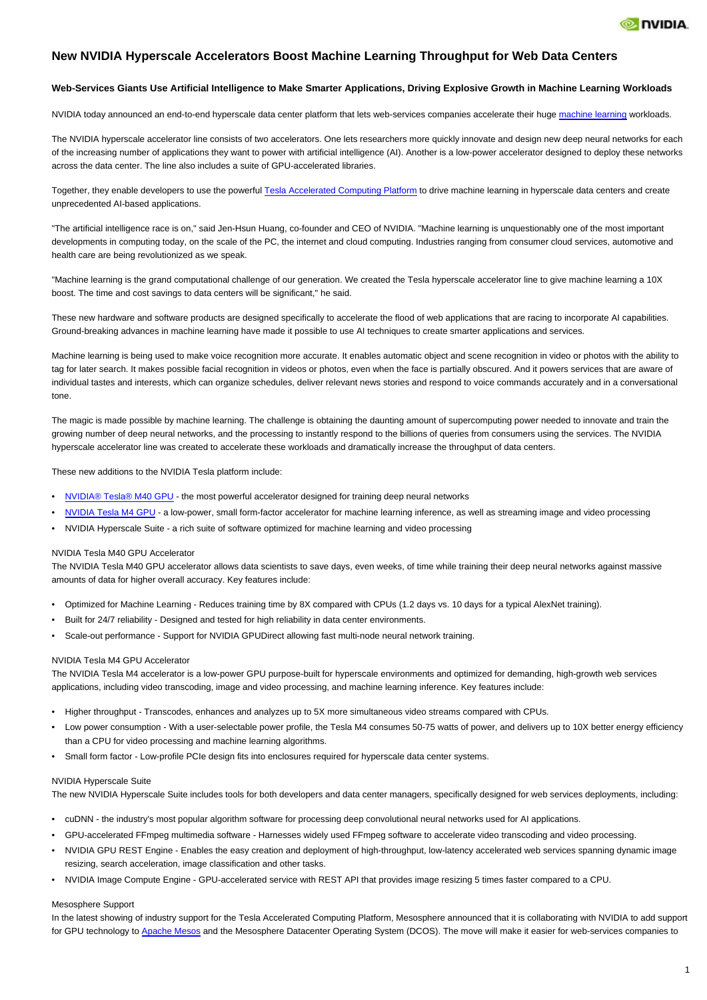

# **New NVIDIA Hyperscale Accelerators Boost Machine Learning Throughput for Web Data Centers**

# **Web-Services Giants Use Artificial Intelligence to Make Smarter Applications, Driving Explosive Growth in Machine Learning Workloads**

NVIDIA today announced an end-to-end hyperscale data center platform that lets web-services companies accelerate their huge [machine learning](http://ctt.marketwire.com/?release=1227846&id=7659037&type=1&url=http%3a%2f%2fwww.nvidia.com%2fobject%2fmachine-learning.html) workloads.

The NVIDIA hyperscale accelerator line consists of two accelerators. One lets researchers more quickly innovate and design new deep neural networks for each of the increasing number of applications they want to power with artificial intelligence (AI). Another is a low-power accelerator designed to deploy these networks across the data center. The line also includes a suite of GPU-accelerated libraries.

Together, they enable developers to use the powerful [Tesla Accelerated Computing Platform](http://ctt.marketwire.com/?release=1227846&id=7659040&type=1&url=http%3a%2f%2fwww.nvidia.com%2fobject%2ftesla-servers.html) to drive machine learning in hyperscale data centers and create unprecedented AI-based applications.

"The artificial intelligence race is on," said Jen-Hsun Huang, co-founder and CEO of NVIDIA. "Machine learning is unquestionably one of the most important developments in computing today, on the scale of the PC, the internet and cloud computing. Industries ranging from consumer cloud services, automotive and health care are being revolutionized as we speak.

"Machine learning is the grand computational challenge of our generation. We created the Tesla hyperscale accelerator line to give machine learning a 10X boost. The time and cost savings to data centers will be significant," he said.

These new hardware and software products are designed specifically to accelerate the flood of web applications that are racing to incorporate AI capabilities. Ground-breaking advances in machine learning have made it possible to use AI techniques to create smarter applications and services.

Machine learning is being used to make voice recognition more accurate. It enables automatic object and scene recognition in video or photos with the ability to tag for later search. It makes possible facial recognition in videos or photos, even when the face is partially obscured. And it powers services that are aware of individual tastes and interests, which can organize schedules, deliver relevant news stories and respond to voice commands accurately and in a conversational tone.

The magic is made possible by machine learning. The challenge is obtaining the daunting amount of supercomputing power needed to innovate and train the growing number of deep neural networks, and the processing to instantly respond to the billions of queries from consumers using the services. The NVIDIA hyperscale accelerator line was created to accelerate these workloads and dramatically increase the throughput of data centers.

These new additions to the NVIDIA Tesla platform include:

- [NVIDIA® Tesla® M40 GPU](http://ctt.marketwire.com/?release=1227846&id=7659043&type=1&url=http%3a%2f%2fwww.nvidia.com%2fobject%2ftesla-servers.html) the most powerful accelerator designed for training deep neural networks
- [NVIDIA Tesla M4 GPU](http://ctt.marketwire.com/?release=1227846&id=7659046&type=1&url=http%3a%2f%2fwww.nvidia.com%2fobject%2ftesla-servers.html) a low-power, small form-factor accelerator for machine learning inference, as well as streaming image and video processing
- NVIDIA Hyperscale Suite a rich suite of software optimized for machine learning and video processing

#### NVIDIA Tesla M40 GPU Accelerator

The NVIDIA Tesla M40 GPU accelerator allows data scientists to save days, even weeks, of time while training their deep neural networks against massive amounts of data for higher overall accuracy. Key features include:

- Optimized for Machine Learning Reduces training time by 8X compared with CPUs (1.2 days vs. 10 days for a typical AlexNet training).
- Built for 24/7 reliability Designed and tested for high reliability in data center environments.
- Scale-out performance Support for NVIDIA GPUDirect allowing fast multi-node neural network training.

## NVIDIA Tesla M4 GPU Accelerator

The NVIDIA Tesla M4 accelerator is a low-power GPU purpose-built for hyperscale environments and optimized for demanding, high-growth web services applications, including video transcoding, image and video processing, and machine learning inference. Key features include:

- Higher throughput Transcodes, enhances and analyzes up to 5X more simultaneous video streams compared with CPUs.
- Low power consumption With a user-selectable power profile, the Tesla M4 consumes 50-75 watts of power, and delivers up to 10X better energy efficiency than a CPU for video processing and machine learning algorithms.
- Small form factor Low-profile PCIe design fits into enclosures required for hyperscale data center systems.

#### NVIDIA Hyperscale Suite

The new NVIDIA Hyperscale Suite includes tools for both developers and data center managers, specifically designed for web services deployments, including:

- cuDNN the industry's most popular algorithm software for processing deep convolutional neural networks used for AI applications.
- GPU-accelerated FFmpeg multimedia software Harnesses widely used FFmpeg software to accelerate video transcoding and video processing.
- NVIDIA GPU REST Engine Enables the easy creation and deployment of high-throughput, low-latency accelerated web services spanning dynamic image resizing, search acceleration, image classification and other tasks.
- NVIDIA Image Compute Engine GPU-accelerated service with REST API that provides image resizing 5 times faster compared to a CPU.

#### Mesosphere Support

In the latest showing of industry support for the Tesla Accelerated Computing Platform, Mesosphere announced that it is collaborating with NVIDIA to add support for GPU technology to [Apache Mesos](http://ctt.marketwire.com/?release=1227846&id=7659049&type=1&url=http%3a%2f%2fwww.nvidia.com%2fobject%2fapache-mesos) and the Mesosphere Datacenter Operating System (DCOS). The move will make it easier for web-services companies to